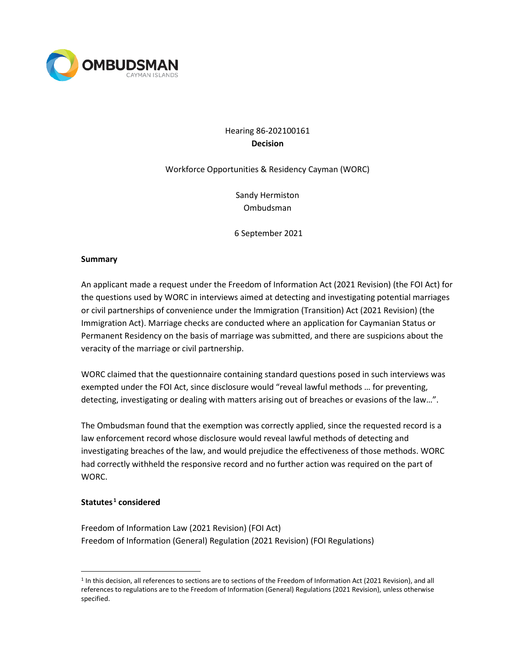

# Hearing 86-202100161 **Decision**

# Workforce Opportunities & Residency Cayman (WORC)

Sandy Hermiston Ombudsman

6 September 2021

#### **Summary**

An applicant made a request under the Freedom of Information Act (2021 Revision) (the FOI Act) for the questions used by WORC in interviews aimed at detecting and investigating potential marriages or civil partnerships of convenience under the Immigration (Transition) Act (2021 Revision) (the Immigration Act). Marriage checks are conducted where an application for Caymanian Status or Permanent Residency on the basis of marriage was submitted, and there are suspicions about the veracity of the marriage or civil partnership.

WORC claimed that the questionnaire containing standard questions posed in such interviews was exempted under the FOI Act, since disclosure would "reveal lawful methods … for preventing, detecting, investigating or dealing with matters arising out of breaches or evasions of the law…".

The Ombudsman found that the exemption was correctly applied, since the requested record is a law enforcement record whose disclosure would reveal lawful methods of detecting and investigating breaches of the law, and would prejudice the effectiveness of those methods. WORC had correctly withheld the responsive record and no further action was required on the part of WORC.

#### **Statutes [1](#page-0-0) considered**

Freedom of Information Law (2021 Revision) (FOI Act) Freedom of Information (General) Regulation (2021 Revision) (FOI Regulations)

<span id="page-0-0"></span><sup>1</sup> In this decision, all references to sections are to sections of the Freedom of Information Act (2021 Revision), and all references to regulations are to the Freedom of Information (General) Regulations (2021 Revision), unless otherwise specified.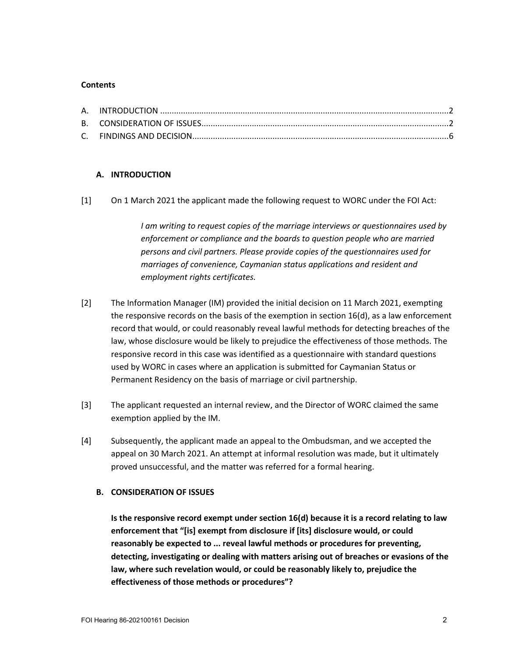#### **Contents**

# **A. INTRODUCTION**

[1] On 1 March 2021 the applicant made the following request to WORC under the FOI Act:

*I am writing to request copies of the marriage interviews or questionnaires used by enforcement or compliance and the boards to question people who are married persons and civil partners. Please provide copies of the questionnaires used for marriages of convenience, Caymanian status applications and resident and employment rights certificates.*

- [2] The Information Manager (IM) provided the initial decision on 11 March 2021, exempting the responsive records on the basis of the exemption in section 16(d), as a law enforcement record that would, or could reasonably reveal lawful methods for detecting breaches of the law, whose disclosure would be likely to prejudice the effectiveness of those methods. The responsive record in this case was identified as a questionnaire with standard questions used by WORC in cases where an application is submitted for Caymanian Status or Permanent Residency on the basis of marriage or civil partnership.
- [3] The applicant requested an internal review, and the Director of WORC claimed the same exemption applied by the IM.
- [4] Subsequently, the applicant made an appeal to the Ombudsman, and we accepted the appeal on 30 March 2021. An attempt at informal resolution was made, but it ultimately proved unsuccessful, and the matter was referred for a formal hearing.

### **B. CONSIDERATION OF ISSUES**

**Is the responsive record exempt under section 16(d) because it is a record relating to law enforcement that "[is] exempt from disclosure if [its] disclosure would, or could reasonably be expected to ... reveal lawful methods or procedures for preventing, detecting, investigating or dealing with matters arising out of breaches or evasions of the law, where such revelation would, or could be reasonably likely to, prejudice the effectiveness of those methods or procedures"?**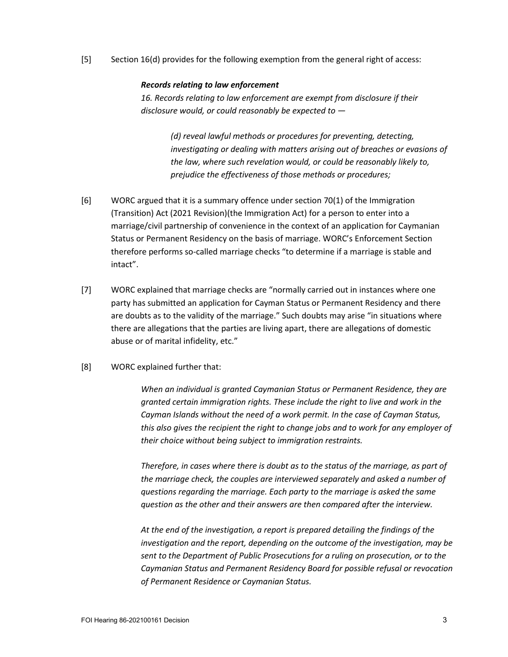[5] Section 16(d) provides for the following exemption from the general right of access:

#### *Records relating to law enforcement*

*16. Records relating to law enforcement are exempt from disclosure if their disclosure would, or could reasonably be expected to —*

> *(d) reveal lawful methods or procedures for preventing, detecting, investigating or dealing with matters arising out of breaches or evasions of the law, where such revelation would, or could be reasonably likely to, prejudice the effectiveness of those methods or procedures;*

- [6] WORC argued that it is a summary offence under section 70(1) of the Immigration (Transition) Act (2021 Revision)(the Immigration Act) for a person to enter into a marriage/civil partnership of convenience in the context of an application for Caymanian Status or Permanent Residency on the basis of marriage. WORC's Enforcement Section therefore performs so-called marriage checks "to determine if a marriage is stable and intact".
- [7] WORC explained that marriage checks are "normally carried out in instances where one party has submitted an application for Cayman Status or Permanent Residency and there are doubts as to the validity of the marriage." Such doubts may arise "in situations where there are allegations that the parties are living apart, there are allegations of domestic abuse or of marital infidelity, etc."
- [8] WORC explained further that:

*When an individual is granted Caymanian Status or Permanent Residence, they are granted certain immigration rights. These include the right to live and work in the Cayman Islands without the need of a work permit. In the case of Cayman Status, this also gives the recipient the right to change jobs and to work for any employer of their choice without being subject to immigration restraints.*

*Therefore, in cases where there is doubt as to the status of the marriage, as part of the marriage check, the couples are interviewed separately and asked a number of questions regarding the marriage. Each party to the marriage is asked the same question as the other and their answers are then compared after the interview.*

*At the end of the investigation, a report is prepared detailing the findings of the investigation and the report, depending on the outcome of the investigation, may be sent to the Department of Public Prosecutions for a ruling on prosecution, or to the Caymanian Status and Permanent Residency Board for possible refusal or revocation of Permanent Residence or Caymanian Status.*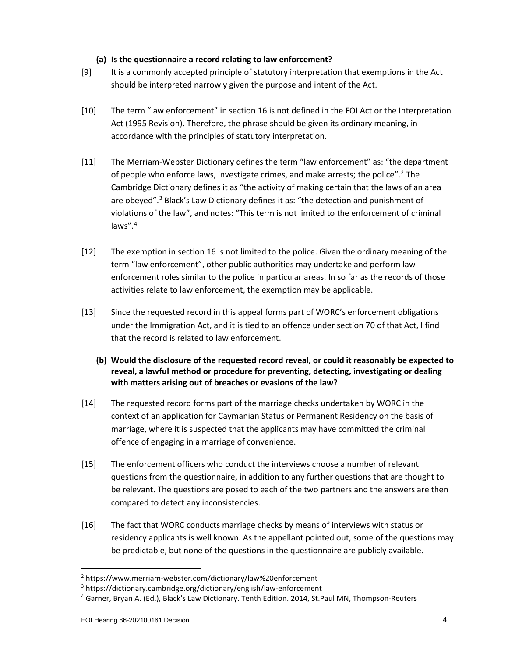# **(a) Is the questionnaire a record relating to law enforcement?**

- [9] It is a commonly accepted principle of statutory interpretation that exemptions in the Act should be interpreted narrowly given the purpose and intent of the Act.
- [10] The term "law enforcement" in section 16 is not defined in the FOI Act or the Interpretation Act (1995 Revision). Therefore, the phrase should be given its ordinary meaning, in accordance with the principles of statutory interpretation.
- [11] The Merriam-Webster Dictionary defines the term "law enforcement" as: "the department of people who enforce laws, investigate crimes, and make arrests; the police"[.2](#page-3-0) The Cambridge Dictionary defines it as "the activity of making certain that the laws of an area are obeyed".<sup>[3](#page-3-1)</sup> Black's Law Dictionary defines it as: "the detection and punishment of violations of the law", and notes: "This term is not limited to the enforcement of criminal laws".[4](#page-3-2)
- [12] The exemption in section 16 is not limited to the police. Given the ordinary meaning of the term "law enforcement", other public authorities may undertake and perform law enforcement roles similar to the police in particular areas. In so far as the records of those activities relate to law enforcement, the exemption may be applicable.
- [13] Since the requested record in this appeal forms part of WORC's enforcement obligations under the Immigration Act, and it is tied to an offence under section 70 of that Act, I find that the record is related to law enforcement.
	- **(b) Would the disclosure of the requested record reveal, or could it reasonably be expected to reveal, a lawful method or procedure for preventing, detecting, investigating or dealing with matters arising out of breaches or evasions of the law?**
- [14] The requested record forms part of the marriage checks undertaken by WORC in the context of an application for Caymanian Status or Permanent Residency on the basis of marriage, where it is suspected that the applicants may have committed the criminal offence of engaging in a marriage of convenience.
- [15] The enforcement officers who conduct the interviews choose a number of relevant questions from the questionnaire, in addition to any further questions that are thought to be relevant. The questions are posed to each of the two partners and the answers are then compared to detect any inconsistencies.
- [16] The fact that WORC conducts marriage checks by means of interviews with status or residency applicants is well known. As the appellant pointed out, some of the questions may be predictable, but none of the questions in the questionnaire are publicly available.

<span id="page-3-0"></span><sup>2</sup> https://www.merriam-webster.com/dictionary/law%20enforcement

<span id="page-3-1"></span><sup>3</sup> https://dictionary.cambridge.org/dictionary/english/law-enforcement

<span id="page-3-2"></span><sup>4</sup> Garner, Bryan A. (Ed.), Black's Law Dictionary. Tenth Edition. 2014, St.Paul MN, Thompson-Reuters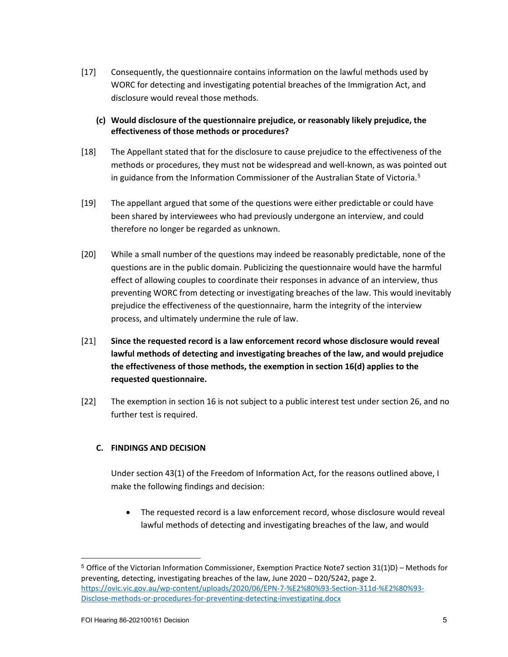- [17] Consequently, the questionnaire contains information on the lawful methods used by WORC for detecting and investigating potential breaches of the Immigration Act, and disclosure would reveal those methods.
	- **(c) Would disclosure of the questionnaire prejudice, or reasonably likely prejudice, the effectiveness of those methods or procedures?**
- [18] The Appellant stated that for the disclosure to cause prejudice to the effectiveness of the methods or procedures, they must not be widespread and well-known, as was pointed out in guidance from the Information Commissioner of the Australian State of Victoria. [5](#page-4-0)
- [19] The appellant argued that some of the questions were either predictable or could have been shared by interviewees who had previously undergone an interview, and could therefore no longer be regarded as unknown.
- [20] While a small number of the questions may indeed be reasonably predictable, none of the questions are in the public domain. Publicizing the questionnaire would have the harmful effect of allowing couples to coordinate their responses in advance of an interview, thus preventing WORC from detecting or investigating breaches of the law. This would inevitably prejudice the effectiveness of the questionnaire, harm the integrity of the interview process, and ultimately undermine the rule of law.
- [21] **Since the requested record is a law enforcement record whose disclosure would reveal lawful methods of detecting and investigating breaches of the law, and would prejudice the effectiveness of those methods, the exemption in section 16(d) applies to the requested questionnaire.**
- [22] The exemption in section 16 is not subject to a public interest test under section 26, and no further test is required.

# **C. FINDINGS AND DECISION**

Under section 43(1) of the Freedom of Information Act, for the reasons outlined above, I make the following findings and decision:

• The requested record is a law enforcement record, whose disclosure would reveal lawful methods of detecting and investigating breaches of the law, and would

<span id="page-4-0"></span><sup>5</sup> Office of the Victorian Information Commissioner, Exemption Practice Note7 section 31(1)D) – Methods for preventing, detecting, investigating breaches of the law, June 2020 – D20/5242, page 2. [https://ovic.vic.gov.au/wp-content/uploads/2020/06/EPN-7-%E2%80%93-Section-311d-%E2%80%93-](https://ovic.vic.gov.au/wp-content/uploads/2020/06/EPN-7-%E2%80%93-Section-311d-%E2%80%93-Disclose-methods-or-procedures-for-preventing-detecting-investigating.docx) [Disclose-methods-or-procedures-for-preventing-detecting-investigating.docx](https://ovic.vic.gov.au/wp-content/uploads/2020/06/EPN-7-%E2%80%93-Section-311d-%E2%80%93-Disclose-methods-or-procedures-for-preventing-detecting-investigating.docx)